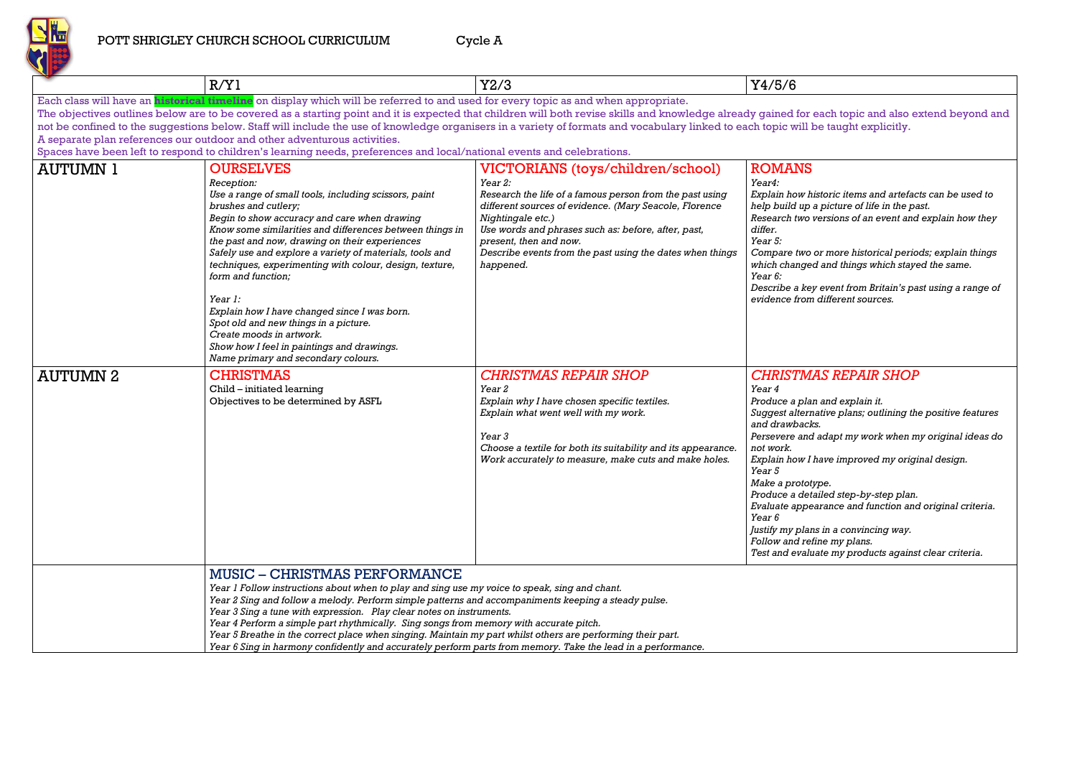

### POTT SHRIGLEY CHURCH SCHOOL CURRICULUM Cycle A

|                 | R/Y1                                                                                                                                                                                                                                                                                                                                                                                                                                                                                                                                                                                                                                            | Y2/3                                                                                                                                                                                                                                                                                                                                                      | Y4/5/6                                                                                                                                                                                                                                                          |
|-----------------|-------------------------------------------------------------------------------------------------------------------------------------------------------------------------------------------------------------------------------------------------------------------------------------------------------------------------------------------------------------------------------------------------------------------------------------------------------------------------------------------------------------------------------------------------------------------------------------------------------------------------------------------------|-----------------------------------------------------------------------------------------------------------------------------------------------------------------------------------------------------------------------------------------------------------------------------------------------------------------------------------------------------------|-----------------------------------------------------------------------------------------------------------------------------------------------------------------------------------------------------------------------------------------------------------------|
|                 | Each class will have an <b>historical timeline</b> on display which will be referred to and used for every topic as and when appropriate.                                                                                                                                                                                                                                                                                                                                                                                                                                                                                                       |                                                                                                                                                                                                                                                                                                                                                           |                                                                                                                                                                                                                                                                 |
|                 | The objectives outlines below are to be covered as a starting point and it is expected that children will both revise skills and knowledge already gained for                                                                                                                                                                                                                                                                                                                                                                                                                                                                                   |                                                                                                                                                                                                                                                                                                                                                           |                                                                                                                                                                                                                                                                 |
|                 | not be confined to the suggestions below. Staff will include the use of knowledge organisers in a variety of formats and vocabulary linked to each topic will i                                                                                                                                                                                                                                                                                                                                                                                                                                                                                 |                                                                                                                                                                                                                                                                                                                                                           |                                                                                                                                                                                                                                                                 |
|                 | A separate plan references our outdoor and other adventurous activities.                                                                                                                                                                                                                                                                                                                                                                                                                                                                                                                                                                        |                                                                                                                                                                                                                                                                                                                                                           |                                                                                                                                                                                                                                                                 |
|                 | Spaces have been left to respond to children's learning needs, preferences and local/national events and celebrations.                                                                                                                                                                                                                                                                                                                                                                                                                                                                                                                          |                                                                                                                                                                                                                                                                                                                                                           |                                                                                                                                                                                                                                                                 |
| <b>AUTUMN 1</b> | <b>OURSELVES</b><br>Reception:<br>Use a range of small tools, including scissors, paint<br>brushes and cutlery;<br>Begin to show accuracy and care when drawing<br>Know some similarities and differences between things in<br>the past and now, drawing on their experiences<br>Safely use and explore a variety of materials, tools and<br>techniques, experimenting with colour, design, texture,<br>form and function;<br>Year 1:<br>Explain how I have changed since I was born.<br>Spot old and new things in a picture.<br>Create moods in artwork.<br>Show how I feel in paintings and drawings.<br>Name primary and secondary colours. | VICTORIANS (toys/children/school)<br><i>Year 2:</i><br>Research the life of a famous person from the past using<br>different sources of evidence. (Mary Seacole, Florence<br>Nightingale etc.)<br>Use words and phrases such as: before, after, past,<br>present, then and now.<br>Describe events from the past using the dates when things<br>happened. | <b>ROMANS</b><br>Year4:<br>Explain how h<br>help build up<br>Research two<br>differ.<br>Year 5:<br>Compare two<br>which change<br>Year 6:<br>Describe a ke<br>evidence from                                                                                     |
| <b>AUTUMN 2</b> | <b>CHRISTMAS</b><br>Child - initiated learning<br>Objectives to be determined by ASFL                                                                                                                                                                                                                                                                                                                                                                                                                                                                                                                                                           | <b>CHRISTMAS REPAIR SHOP</b><br>Year 2<br>Explain why I have chosen specific textiles.<br>Explain what went well with my work.<br>Year 3<br>Choose a textile for both its suitability and its appearance.<br>Work accurately to measure, make cuts and make holes.                                                                                        | <i><b>CHRISTM</b></i><br>Year 4<br>Produce a pla<br>Suggest altern<br>and drawback<br>Persevere and<br>not work.<br>Explain how I<br>Year 5<br>Make a protot<br>Produce a det<br>Evaluate appe<br>Year 6<br>Justify my plai<br>Follow and re.<br>Test and evalu |
|                 | <b>MUSIC – CHRISTMAS PERFORMANCE</b><br>Year 1 Follow instructions about when to play and sing use my voice to speak, sing and chant.<br>Year 2 Sing and follow a melody. Perform simple patterns and accompaniments keeping a steady pulse.<br>Year 3 Sing a tune with expression. Play clear notes on instruments.<br>Year 4 Perform a simple part rhythmically. Sing songs from memory with accurate pitch.<br>Year 5 Breathe in the correct place when singing. Maintain my part whilst others are performing their part.                                                                                                                   |                                                                                                                                                                                                                                                                                                                                                           |                                                                                                                                                                                                                                                                 |

*Explain how historic items and artefacts can be used to help build up a picture of life in the past. Research two versions of an event and explain how they* 

*Compare two or more historical periods; explain things which changed and things which stayed the same.*

*Describe a key event from Britain's past using a range of evidence from different sources.*

## *CHRISTMAS REPAIR SHOP*

*Produce a plan and explain it. Suggest alternative plans; outlining the positive features*   $k$ s. *Persevere and adapt my work when my original ideas do* 

*I* have improved my original design.

*Make a prototype.*  $\rho$ *iailed step-by-step plan. Evaluate appearance and function and original criteria.*

*Justify my plans in a convincing way. Follow and refine my plans. Test and evaluate my products against clear criteria.*

*Year 6 Sing in harmony confidently and accurately perform parts from memory. Take the lead in a performance.*

teach topic and also extend beyond and it is each topic and also extend beyond and be taught explicitly.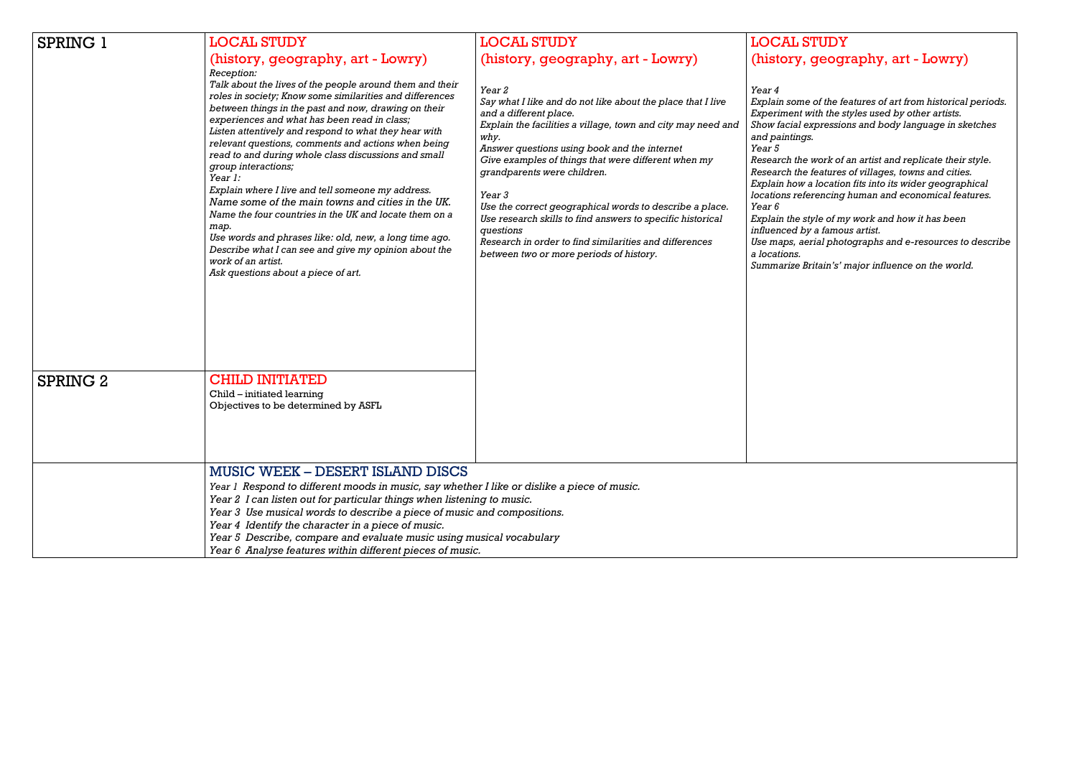| <b>SPRING 1</b> | <b>LOCAL STUDY</b><br>(history, geography, art - Lowry)<br>Reception:<br>Talk about the lives of the people around them and their<br>roles in society; Know some similarities and differences<br>between things in the past and now, drawing on their<br>experiences and what has been read in class;<br>Listen attentively and respond to what they hear with<br>relevant questions, comments and actions when being<br>read to and during whole class discussions and small<br>group interactions;<br>Year 1:<br>Explain where I live and tell someone my address.<br>Name some of the main towns and cities in the UK.<br>Name the four countries in the UK and locate them on a<br>map.<br>Use words and phrases like: old, new, a long time ago.<br>Describe what I can see and give my opinion about the<br>work of an artist.<br>Ask questions about a piece of art. | <b>LOCAL STUDY</b><br>(history, geography, art - Lowry)<br>Year 2<br>Say what I like and do not like about the place that I live<br>and a different place.<br>Explain the facilities a village, town and city may need and<br>why.<br>Answer questions using book and the internet<br>Give examples of things that were different when my<br>grandparents were children.<br>Year 3<br>Use the correct geographical words to describe a place.<br>Use research skills to find answers to specific historical<br>questions<br>Research in order to find similarities and differences<br>between two or more periods of history. | <b>LOCAL ST</b><br>(history, g<br>Year 4<br>Explain some o<br>Experiment wit.<br>Show facial exp<br>and paintings.<br>Year 5<br>Research the w<br>Research the fe<br>Explain how a l<br>locations refere<br><i>Year 6</i><br>Explain the styl<br>influenced by a<br>Use maps, aeria<br>a locations.<br>Summarize Brit |
|-----------------|-----------------------------------------------------------------------------------------------------------------------------------------------------------------------------------------------------------------------------------------------------------------------------------------------------------------------------------------------------------------------------------------------------------------------------------------------------------------------------------------------------------------------------------------------------------------------------------------------------------------------------------------------------------------------------------------------------------------------------------------------------------------------------------------------------------------------------------------------------------------------------|-------------------------------------------------------------------------------------------------------------------------------------------------------------------------------------------------------------------------------------------------------------------------------------------------------------------------------------------------------------------------------------------------------------------------------------------------------------------------------------------------------------------------------------------------------------------------------------------------------------------------------|-----------------------------------------------------------------------------------------------------------------------------------------------------------------------------------------------------------------------------------------------------------------------------------------------------------------------|
| SPRING 2        | <b>CHILD INITIATED</b><br>Child – initiated learning<br>Objectives to be determined by ASFL                                                                                                                                                                                                                                                                                                                                                                                                                                                                                                                                                                                                                                                                                                                                                                                 |                                                                                                                                                                                                                                                                                                                                                                                                                                                                                                                                                                                                                               |                                                                                                                                                                                                                                                                                                                       |
|                 | <b>MUSIC WEEK - DESERT ISLAND DISCS</b><br>Year 1 Respond to different moods in music, say whether I like or dislike a piece of music.<br>Year 2 I can listen out for particular things when listening to music.<br>Year 3 Use musical words to describe a piece of music and compositions.<br>Year 4 Identify the character in a piece of music.<br>Year 5 Describe, compare and evaluate music using musical vocabulary<br>Year 6 Analyse features within different pieces of music.                                                                                                                                                                                                                                                                                                                                                                                      |                                                                                                                                                                                                                                                                                                                                                                                                                                                                                                                                                                                                                               |                                                                                                                                                                                                                                                                                                                       |

# STUDY geography, art - Lowry)

*Explain some of the features of art from historical periods.* with the styles used by other artists. *Show facial expressions and body language in sketches* 

*Research the work of an artist and replicate their style. Research the features of villages, towns and cities. Explain how a location fits into its wider geographical locations referencing human and economical features.*

> *Explain the style of my work and how it has been influenced by a famous artist. Use maps, aerial photographs and e-resources to describe*

*Summarize Britain's' major influence on the world.*